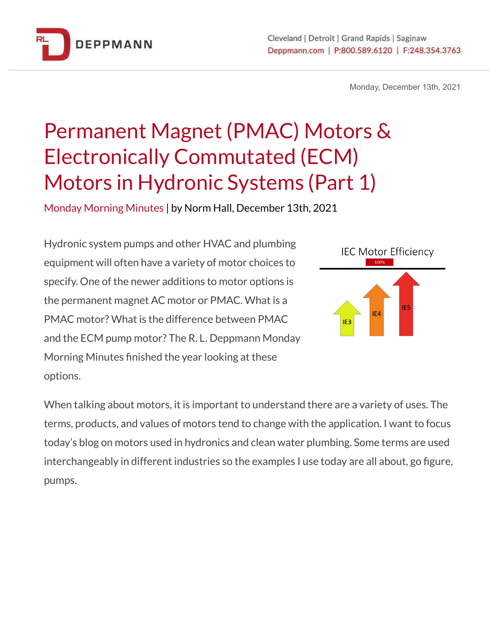

Monday, December 13th, 2021

# Permanent Magnet (PMAC) Motors & Electronically Commutated (ECM) Motors in Hydronic Systems (Part 1)

Monday Morning Minutes | by Norm Hall, December 13th, 2021

Hydronic system pumps and other HVAC and plumbing equipment will often have a variety of motor choices to specify. One of the newer additions to motor options is the permanent magnet AC motor or PMAC. What is a PMAC motor? What is the difference between PMAC and the ECM pump motor? The R. L. Deppmann Monday Morning Minutes finished the year looking at these options.



When talking about motors, it is important to understand there are a variety of uses. The terms, products, and values of motors tend to change with the application. I want to focus today's blog on motors used in hydronics and clean water plumbing. Some terms are used interchangeably in different industries so the examples I use today are all about, go figure, pumps.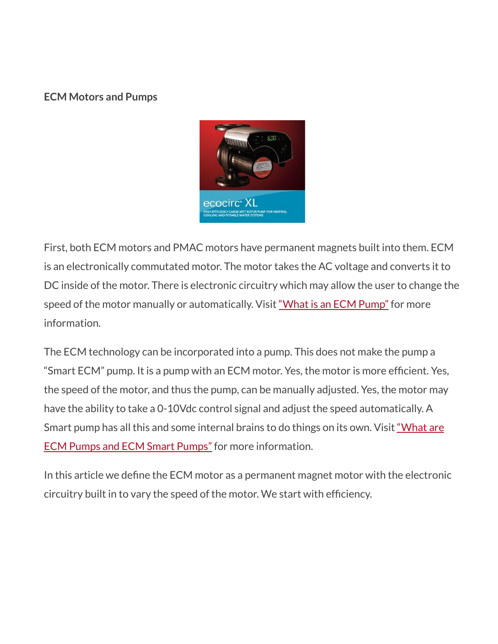#### **ECM Motors and Pumps**



First, both ECM motors and PMAC motors have permanent magnets built into them. ECM is an electronically commutated motor. The motor takes the AC voltage and converts it to DC inside of the motor. There is electronic circuitry which may allow the user to change the speed of the motor manually or automatically. Visit "What is an ECM [Pump"](http://bit.ly/2Bx9NHq) for more information.

The ECM technology can be incorporated into a pump. This does not make the pump a "Smart ECM" pump. It is a pump with an ECM motor. Yes, the motor is more efficient. Yes, the speed of the motor, and thus the pump, can be manually adjusted. Yes, the motor may have the ability to take a 0-10Vdc control signal and adjust the speed automatically. A Smart pump has all this and some internal brains to do things on its own. Visit ["What](https://bit.ly/3pzhogH) are ECM Pumps and ECM Smart [Pumps"](https://bit.ly/3pzhogH) for more information.

In this article we define the ECM motor as a permanent magnet motor with the electronic circuitry built in to vary the speed of the motor. We start with efficiency.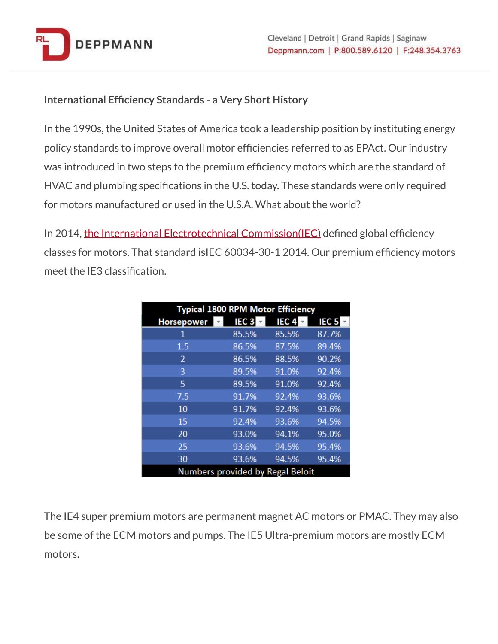

#### **International Efficiency Standards - a Very Short History**

In the 1990s, the United States of America took a leadership position by instituting energy policy standards to improve overall motor efficiencies referred to as EPAct. Our industry was introduced in two steps to the premium efficiency motors which are the standard of HVAC and plumbing specifications in the U.S. today. These standards were only required for motors manufactured or used in the U.S.A. What about the world?

In 2014, the International Electrotechnical [Commission\(IEC\)](https://www.iec.ch/who-we-are) defined global efficiency classes for motors. That standard isIEC 60034-30-1 2014. Our premium efficiency motors meet the IE3 classification.

| <b>Typical 1800 RPM Motor Efficiency</b> |                  |                  |                  |
|------------------------------------------|------------------|------------------|------------------|
| Horsepower                               | IEC <sub>3</sub> | IEC <sub>4</sub> | IEC <sub>5</sub> |
| 1                                        | 85.5%            | 85.5%            | 87.7%            |
| 1.5                                      | 86.5%            | 87.5%            | 89.4%            |
| $\mathfrak{p}$                           | 86.5%            | 88.5%            | 90.2%            |
| 3                                        | 89.5%            | 91.0%            | 92.4%            |
| 5                                        | 89.5%            | 91.0%            | 92.4%            |
| 7.5                                      | 91.7%            | 92.4%            | 93.6%            |
| 10                                       | 91.7%            | 92.4%            | 93.6%            |
| 15                                       | 92.4%            | 93.6%            | 94.5%            |
| 20                                       | 93.0%            | 94.1%            | 95.0%            |
| 25                                       | 93.6%            | 94.5%            | 95.4%            |
| 30                                       | 93.6%            | 94.5%            | 95.4%            |
| <b>Numbers provided by Regal Beloit</b>  |                  |                  |                  |

The IE4 super premium motors are permanent magnet AC motors or PMAC. They may also be some of the ECM motors and pumps. The IE5 Ultra-premium motors are mostly ECM motors.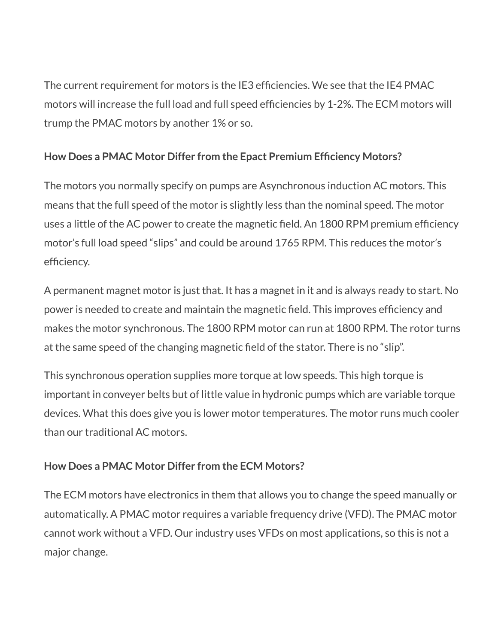The current requirement for motors is the IE3 efficiencies. We see that the IE4 PMAC motors will increase the full load and full speed efficiencies by 1-2%. The ECM motors will trump the PMAC motors by another 1% or so.

### **How Does a PMAC Motor Differ from the Epact Premium Efficiency Motors?**

The motors you normally specify on pumps are Asynchronous induction AC motors. This means that the full speed of the motor is slightly less than the nominal speed. The motor uses a little of the AC power to create the magnetic field. An 1800 RPM premium efficiency motor's full load speed "slips" and could be around 1765 RPM. This reduces the motor's efficiency.

A permanent magnet motor is just that. It has a magnet in it and is always ready to start. No power is needed to create and maintain the magnetic field. This improves efficiency and makes the motor synchronous. The 1800 RPM motor can run at 1800 RPM. The rotor turns at the same speed of the changing magnetic field of the stator. There is no "slip".

This synchronous operation supplies more torque at low speeds. This high torque is important in conveyer belts but of little value in hydronic pumps which are variable torque devices. What this does give you is lower motor temperatures. The motor runs much cooler than our traditional AC motors.

## **How Does a PMAC Motor Differ from the ECM Motors?**

The ECM motors have electronics in them that allows you to change the speed manually or automatically. A PMAC motor requires a variable frequency drive (VFD). The PMAC motor cannot work without a VFD. Our industry uses VFDs on most applications, so this is not a major change.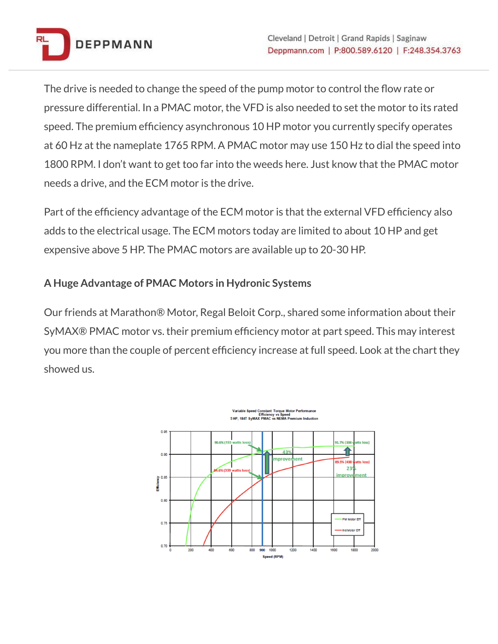

The drive is needed to change the speed of the pump motor to control the flow rate or pressure differential. In a PMAC motor, the VFD is also needed to set the motor to its rated speed. The premium efficiency asynchronous 10 HP motor you currently specify operates at 60 Hz at the nameplate 1765 RPM. A PMAC motor may use 150 Hz to dial the speed into 1800 RPM. I don't want to get too far into the weeds here. Just know that the PMAC motor needs a drive, and the ECM motor is the drive.

Part of the efficiency advantage of the ECM motor is that the external VFD efficiency also adds to the electrical usage. The ECM motors today are limited to about 10 HP and get expensive above 5 HP. The PMAC motors are available up to 20-30 HP.

### **A Huge Advantage of PMAC Motors in Hydronic Systems**

Our friends at Marathon® Motor, Regal Beloit Corp., shared some information about their SyMAX® PMAC motor vs. their premium efficiency motor at part speed. This may interest you more than the couple of percent efficiency increase at full speed. Look at the chart they showed us.